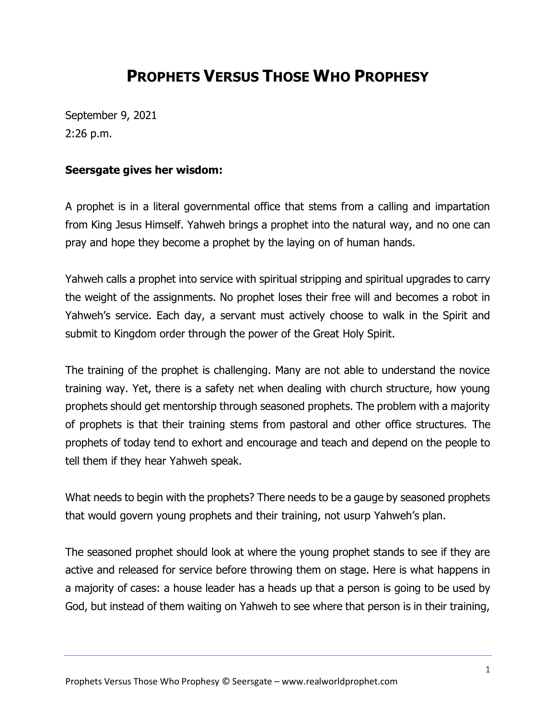## **PROPHETS VERSUS THOSE WHO PROPHESY**

September 9, 2021 2:26 p.m.

## **Seersgate gives her wisdom:**

A prophet is in a literal governmental office that stems from a calling and impartation from King Jesus Himself. Yahweh brings a prophet into the natural way, and no one can pray and hope they become a prophet by the laying on of human hands.

Yahweh calls a prophet into service with spiritual stripping and spiritual upgrades to carry the weight of the assignments. No prophet loses their free will and becomes a robot in Yahweh's service. Each day, a servant must actively choose to walk in the Spirit and submit to Kingdom order through the power of the Great Holy Spirit.

The training of the prophet is challenging. Many are not able to understand the novice training way. Yet, there is a safety net when dealing with church structure, how young prophets should get mentorship through seasoned prophets. The problem with a majority of prophets is that their training stems from pastoral and other office structures. The prophets of today tend to exhort and encourage and teach and depend on the people to tell them if they hear Yahweh speak.

What needs to begin with the prophets? There needs to be a gauge by seasoned prophets that would govern young prophets and their training, not usurp Yahweh's plan.

The seasoned prophet should look at where the young prophet stands to see if they are active and released for service before throwing them on stage. Here is what happens in a majority of cases: a house leader has a heads up that a person is going to be used by God, but instead of them waiting on Yahweh to see where that person is in their training,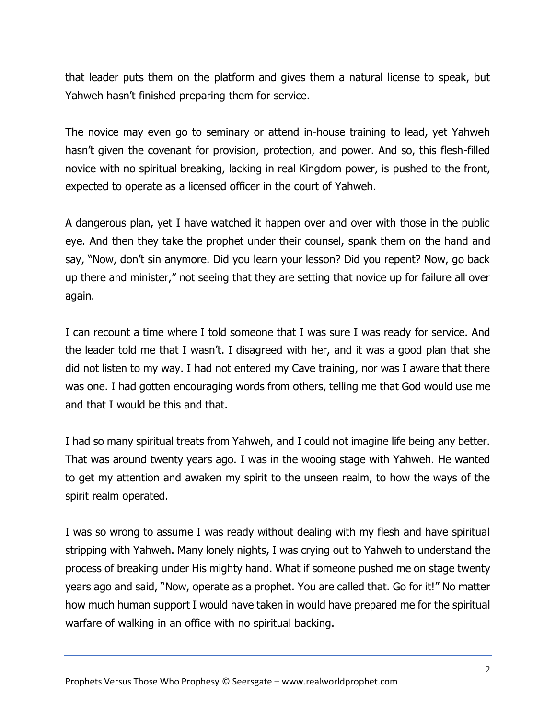that leader puts them on the platform and gives them a natural license to speak, but Yahweh hasn't finished preparing them for service.

The novice may even go to seminary or attend in-house training to lead, yet Yahweh hasn't given the covenant for provision, protection, and power. And so, this flesh-filled novice with no spiritual breaking, lacking in real Kingdom power, is pushed to the front, expected to operate as a licensed officer in the court of Yahweh.

A dangerous plan, yet I have watched it happen over and over with those in the public eye. And then they take the prophet under their counsel, spank them on the hand and say, "Now, don't sin anymore. Did you learn your lesson? Did you repent? Now, go back up there and minister," not seeing that they are setting that novice up for failure all over again.

I can recount a time where I told someone that I was sure I was ready for service. And the leader told me that I wasn't. I disagreed with her, and it was a good plan that she did not listen to my way. I had not entered my Cave training, nor was I aware that there was one. I had gotten encouraging words from others, telling me that God would use me and that I would be this and that.

I had so many spiritual treats from Yahweh, and I could not imagine life being any better. That was around twenty years ago. I was in the wooing stage with Yahweh. He wanted to get my attention and awaken my spirit to the unseen realm, to how the ways of the spirit realm operated.

I was so wrong to assume I was ready without dealing with my flesh and have spiritual stripping with Yahweh. Many lonely nights, I was crying out to Yahweh to understand the process of breaking under His mighty hand. What if someone pushed me on stage twenty years ago and said, "Now, operate as a prophet. You are called that. Go for it!" No matter how much human support I would have taken in would have prepared me for the spiritual warfare of walking in an office with no spiritual backing.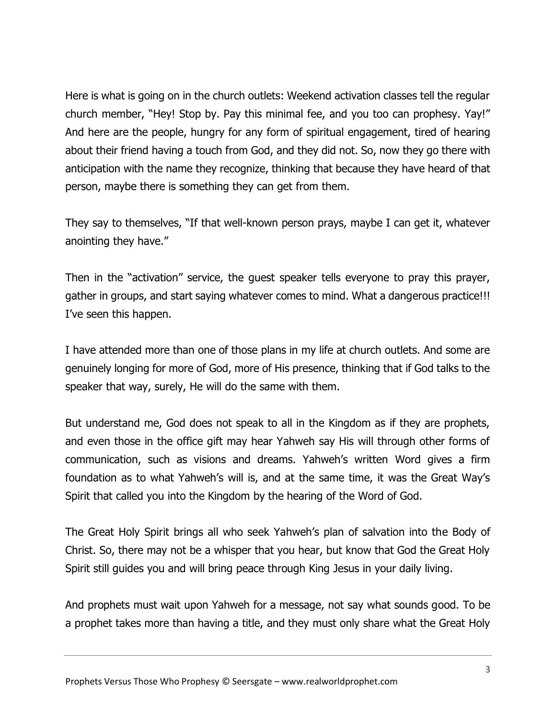Here is what is going on in the church outlets: Weekend activation classes tell the regular church member, "Hey! Stop by. Pay this minimal fee, and you too can prophesy. Yay!" And here are the people, hungry for any form of spiritual engagement, tired of hearing about their friend having a touch from God, and they did not. So, now they go there with anticipation with the name they recognize, thinking that because they have heard of that person, maybe there is something they can get from them.

They say to themselves, "If that well-known person prays, maybe I can get it, whatever anointing they have."

Then in the "activation" service, the guest speaker tells everyone to pray this prayer, gather in groups, and start saying whatever comes to mind. What a dangerous practice!!! I've seen this happen.

I have attended more than one of those plans in my life at church outlets. And some are genuinely longing for more of God, more of His presence, thinking that if God talks to the speaker that way, surely, He will do the same with them.

But understand me, God does not speak to all in the Kingdom as if they are prophets, and even those in the office gift may hear Yahweh say His will through other forms of communication, such as visions and dreams. Yahweh's written Word gives a firm foundation as to what Yahweh's will is, and at the same time, it was the Great Way's Spirit that called you into the Kingdom by the hearing of the Word of God.

The Great Holy Spirit brings all who seek Yahweh's plan of salvation into the Body of Christ. So, there may not be a whisper that you hear, but know that God the Great Holy Spirit still guides you and will bring peace through King Jesus in your daily living.

And prophets must wait upon Yahweh for a message, not say what sounds good. To be a prophet takes more than having a title, and they must only share what the Great Holy